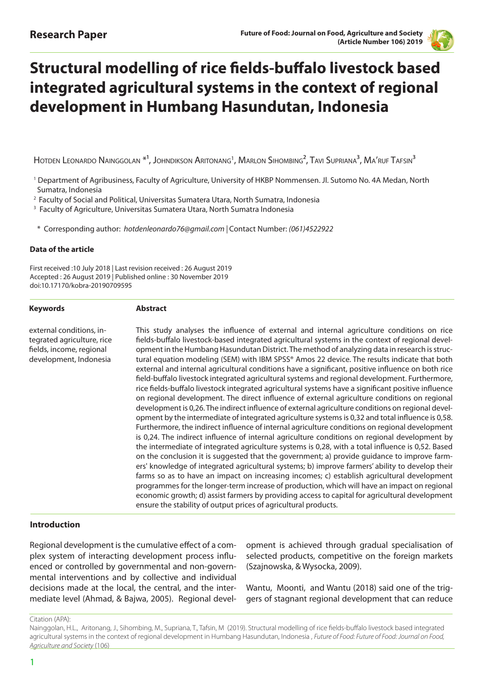

# **Structural modelling of rice fields-buffalo livestock based integrated agricultural systems in the context of regional development in Humbang Hasundutan, Indonesia**

Hotden Leonardo Nainggolan  ${}^{\ast}{}^{!},$  Johndikson Aritonang ${}^{!},$  Marlon Sihombing ${}^{2},$  Tavi Supriana ${}^{3},$  Ma $'$ ruf Tafsin ${}^{3}$ 

- 1 Department of Agribusiness, Faculty of Agriculture, University of HKBP Nommensen. Jl. Sutomo No. 4A Medan, North Sumatra, Indonesia
- 2 Faculty of Social and Political, Universitas Sumatera Utara, North Sumatra, Indonesia

<sup>3</sup> Faculty of Agriculture, Universitas Sumatera Utara, North Sumatra Indonesia

\* Corresponding author: *hotdenleonardo76@gmail.com |* Contact Number: *(061)4522922*

#### **Data of the article**

**Keywords**

First received :10 July 2018 | Last revision received : 26 August 2019 Accepted : 26 August 2019 | Published online : 30 November 2019 doi:10.17170/kobra-20190709595

**Abstract**

external conditions, integrated agriculture, rice fields, income, regional development, Indonesia

This study analyses the influence of external and internal agriculture conditions on rice fields-buffalo livestock-based integrated agricultural systems in the context of regional development in the Humbang Hasundutan District. The method of analyzing data in research is structural equation modeling (SEM) with IBM SPSS® Amos 22 device. The results indicate that both external and internal agricultural conditions have a significant, positive influence on both rice field-buffalo livestock integrated agricultural systems and regional development. Furthermore, rice fields-buffalo livestock integrated agricultural systems have a significant positive influence on regional development. The direct influence of external agriculture conditions on regional development is 0,26. The indirect influence of external agriculture conditions on regional development by the intermediate of integrated agriculture systems is 0,32 and total influence is 0,58. Furthermore, the indirect influence of internal agriculture conditions on regional development is 0,24. The indirect influence of internal agriculture conditions on regional development by the intermediate of integrated agriculture systems is 0,28, with a total influence is 0,52. Based on the conclusion it is suggested that the government; a) provide guidance to improve farmers' knowledge of integrated agricultural systems; b) improve farmers' ability to develop their farms so as to have an impact on increasing incomes; c) establish agricultural development programmes for the longer-term increase of production, which will have an impact on regional economic growth; d) assist farmers by providing access to capital for agricultural development ensure the stability of output prices of agricultural products.

#### **Introduction**

Regional development is the cumulative effect of a complex system of interacting development process influenced or controlled by governmental and non-governmental interventions and by collective and individual decisions made at the local, the central, and the intermediate level (Ahmad, & Bajwa, 2005). Regional development is achieved through gradual specialisation of selected products, competitive on the foreign markets (Szajnowska, & Wysocka, 2009).

Wantu, Moonti, and Wantu (2018) said one of the triggers of stagnant regional development that can reduce

Citation (APA):

Nainggolan, H.L., Aritonang, J., Sihombing, M., Supriana, T., Tafsin, M (2019). Structural modelling of rice fields-buffalo livestock based integrated agricultural systems in the context of regional development in Humbang Hasundutan, Indonesia , *Future of Food: Future of Food: Journal on Food, Agriculture and Society* (106)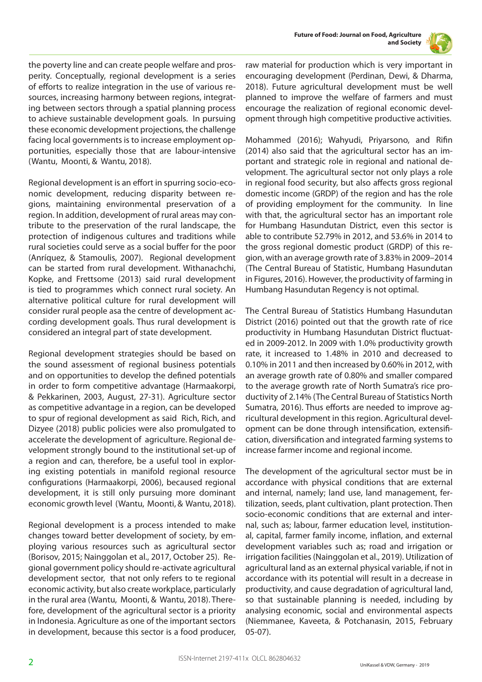



the poverty line and can create people welfare and prosperity. Conceptually, regional development is a series of efforts to realize integration in the use of various resources, increasing harmony between regions, integrating between sectors through a spatial planning process to achieve sustainable development goals. In pursuing these economic development projections, the challenge facing local governments is to increase employment opportunities, especially those that are labour-intensive (Wantu, Moonti, & Wantu, 2018).

Regional development is an effort in spurring socio-economic development, reducing disparity between regions, maintaining environmental preservation of a region. In addition, development of rural areas may contribute to the preservation of the rural landscape, the protection of indigenous cultures and traditions while rural societies could serve as a social buffer for the poor (Anríquez, & Stamoulis, 2007). Regional development can be started from rural development. Withanachchi, Kopke, and Frettsome (2013) said rural development is tied to programmes which connect rural society. An alternative political culture for rural development will consider rural people asa the centre of development according development goals. Thus rural development is considered an integral part of state development.

Regional development strategies should be based on the sound assessment of regional business potentials and on opportunities to develop the defined potentials in order to form competitive advantage (Harmaakorpi, & Pekkarinen, 2003, August, 27-31). Agriculture sector as competitive advantage in a region, can be developed to spur of regional development as said Rich, Rich, and Dizyee (2018) public policies were also promulgated to accelerate the development of agriculture. Regional development strongly bound to the institutional set-up of a region and can, therefore, be a useful tool in exploring existing potentials in manifold regional resource configurations (Harmaakorpi, 2006), becaused regional development, it is still only pursuing more dominant economic growth level (Wantu, Moonti, & Wantu, 2018).

Regional development is a process intended to make changes toward better development of society, by employing various resources such as agricultural sector (Borisov, 2015; Nainggolan et al., 2017, October 25). Regional government policy should re-activate agricultural development sector, that not only refers to te regional economic activity, but also create workplace, particularly in the rural area (Wantu, Moonti, & Wantu, 2018). Therefore, development of the agricultural sector is a priority in Indonesia. Agriculture as one of the important sectors in development, because this sector is a food producer,

raw material for production which is very important in encouraging development (Perdinan, Dewi, & Dharma, 2018). Future agricultural development must be well planned to improve the welfare of farmers and must encourage the realization of regional economic development through high competitive productive activities.

Mohammed (2016); Wahyudi, Priyarsono, and Rifin (2014) also said that the agricultural sector has an important and strategic role in regional and national development. The agricultural sector not only plays a role in regional food security, but also affects gross regional domestic income (GRDP) of the region and has the role of providing employment for the community. In line with that, the agricultural sector has an important role for Humbang Hasundutan District, even this sector is able to contribute 52.79% in 2012, and 53.6% in 2014 to the gross regional domestic product (GRDP) of this region, with an average growth rate of 3.83% in 2009–2014 (The Central Bureau of Statistic, Humbang Hasundutan in Figures, 2016). However, the productivity of farming in Humbang Hasundutan Regency is not optimal.

The Central Bureau of Statistics Humbang Hasundutan District (2016) pointed out that the growth rate of rice productivity in Humbang Hasundutan District fluctuated in 2009-2012. In 2009 with 1.0% productivity growth rate, it increased to 1.48% in 2010 and decreased to 0.10% in 2011 and then increased by 0.60% in 2012, with an average growth rate of 0.80% and smaller compared to the average growth rate of North Sumatra's rice productivity of 2.14% (The Central Bureau of Statistics North Sumatra, 2016). Thus efforts are needed to improve agricultural development in this region. Agricultural development can be done through intensification, extensification, diversification and integrated farming systems to increase farmer income and regional income.

The development of the agricultural sector must be in accordance with physical conditions that are external and internal, namely; land use, land management, fertilization, seeds, plant cultivation, plant protection. Then socio-economic conditions that are external and internal, such as; labour, farmer education level, institutional, capital, farmer family income, inflation, and external development variables such as; road and irrigation or irrigation facilities (Nainggolan et al., 2019). Utilization of agricultural land as an external physical variable, if not in accordance with its potential will result in a decrease in productivity, and cause degradation of agricultural land, so that sustainable planning is needed, including by analysing economic, social and environmental aspects (Niemmanee, Kaveeta, & Potchanasin, 2015, February 05-07).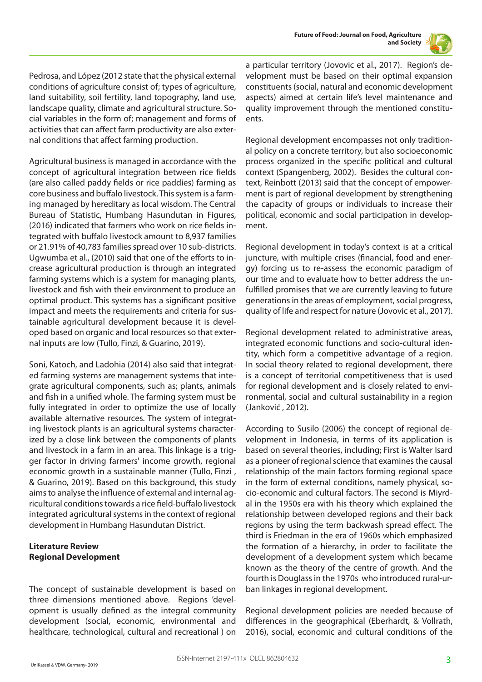

Pedrosa, and López (2012 state that the physical external conditions of agriculture consist of; types of agriculture, land suitability, soil fertility, land topography, land use, landscape quality, climate and agricultural structure. Social variables in the form of; management and forms of activities that can affect farm productivity are also external conditions that affect farming production.

Agricultural business is managed in accordance with the concept of agricultural integration between rice fields (are also called paddy fields or rice paddies) farming as core business and buffalo livestock. This system is a farming managed by hereditary as local wisdom. The Central Bureau of Statistic, Humbang Hasundutan in Figures, (2016) indicated that farmers who work on rice fields integrated with buffalo livestock amount to 8,937 families or 21.91% of 40,783 families spread over 10 sub-districts. Ugwumba et al., (2010) said that one of the efforts to increase agricultural production is through an integrated farming systems which is a system for managing plants, livestock and fish with their environment to produce an optimal product. This systems has a significant positive impact and meets the requirements and criteria for sustainable agricultural development because it is developed based on organic and local resources so that external inputs are low (Tullo, Finzi, & Guarino, 2019).

Soni, Katoch, and Ladohia (2014) also said that integrated farming systems are management systems that integrate agricultural components, such as; plants, animals and fish in a unified whole. The farming system must be fully integrated in order to optimize the use of locally available alternative resources. The system of integrating livestock plants is an agricultural systems characterized by a close link between the components of plants and livestock in a farm in an area. This linkage is a trigger factor in driving farmers' income growth, regional economic growth in a sustainable manner (Tullo, Finzi , & Guarino, 2019). Based on this background, this study aims to analyse the influence of external and internal agricultural conditions towards a rice field-buffalo livestock integrated agricultural systems in the context of regional development in Humbang Hasundutan District.

# **Literature Review Regional Development**

The concept of sustainable development is based on three dimensions mentioned above. Regions 'development is usually defined as the integral community development (social, economic, environmental and healthcare, technological, cultural and recreational ) on

a particular territory (Jovovic et al., 2017). Region's development must be based on their optimal expansion constituents (social, natural and economic development aspects) aimed at certain life's level maintenance and quality improvement through the mentioned constituents.

Regional development encompasses not only traditional policy on a concrete territory, but also socioeconomic process organized in the specific political and cultural context (Spangenberg, 2002). Besides the cultural context, Reinbott (2013) said that the concept of empowerment is part of regional development by strengthening the capacity of groups or individuals to increase their political, economic and social participation in development.

Regional development in today's context is at a critical juncture, with multiple crises (financial, food and energy) forcing us to re-assess the economic paradigm of our time and to evaluate how to better address the unfulfilled promises that we are currently leaving to future generations in the areas of employment, social progress, quality of life and respect for nature (Jovovic et al., 2017).

Regional development related to administrative areas, integrated economic functions and socio-cultural identity, which form a competitive advantage of a region. In social theory related to regional development, there is a concept of territorial competitiveness that is used for regional development and is closely related to environmental, social and cultural sustainability in a region (Janković , 2012).

According to Susilo (2006) the concept of regional development in Indonesia, in terms of its application is based on several theories, including; First is Walter Isard as a pioneer of regional science that examines the causal relationship of the main factors forming regional space in the form of external conditions, namely physical, socio-economic and cultural factors. The second is Miyrdal in the 1950s era with his theory which explained the relationship between developed regions and their back regions by using the term backwash spread effect. The third is Friedman in the era of 1960s which emphasized the formation of a hierarchy, in order to facilitate the development of a development system which became known as the theory of the centre of growth. And the fourth is Douglass in the 1970s who introduced rural-urban linkages in regional development.

Regional development policies are needed because of differences in the geographical (Eberhardt, & Vollrath, 2016), social, economic and cultural conditions of the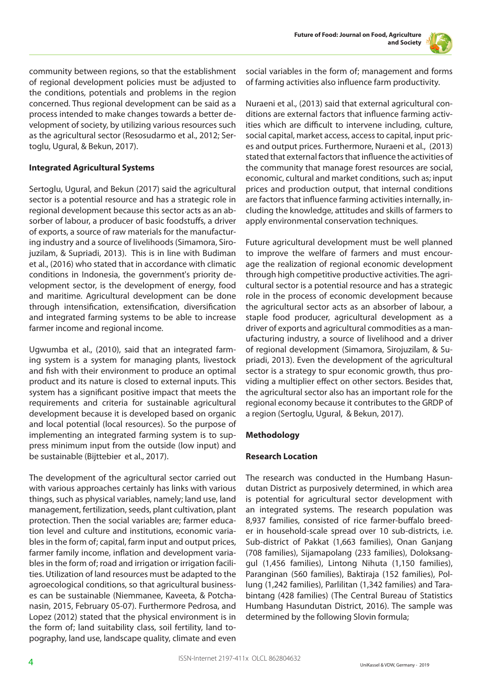

community between regions, so that the establishment of regional development policies must be adjusted to the conditions, potentials and problems in the region concerned. Thus regional development can be said as a process intended to make changes towards a better development of society, by utilizing various resources such as the agricultural sector (Resosudarmo et al., 2012; Sertoglu, Ugural, & Bekun, 2017).

# **Integrated Agricultural Systems**

Sertoglu, Ugural, and Bekun (2017) said the agricultural sector is a potential resource and has a strategic role in regional development because this sector acts as an absorber of labour, a producer of basic foodstuffs, a driver of exports, a source of raw materials for the manufacturing industry and a source of livelihoods (Simamora, Sirojuzilam, & Supriadi, 2013). This is in line with Budiman et al., (2016) who stated that in accordance with climatic conditions in Indonesia, the government's priority development sector, is the development of energy, food and maritime. Agricultural development can be done through intensification, extensification, diversification and integrated farming systems to be able to increase farmer income and regional income.

Ugwumba et al., (2010), said that an integrated farming system is a system for managing plants, livestock and fish with their environment to produce an optimal product and its nature is closed to external inputs. This system has a significant positive impact that meets the requirements and criteria for sustainable agricultural development because it is developed based on organic and local potential (local resources). So the purpose of implementing an integrated farming system is to suppress minimum input from the outside (low input) and be sustainable (Bijttebier et al., 2017).

The development of the agricultural sector carried out with various approaches certainly has links with various things, such as physical variables, namely; land use, land management, fertilization, seeds, plant cultivation, plant protection. Then the social variables are; farmer education level and culture and institutions, economic variables in the form of; capital, farm input and output prices, farmer family income, inflation and development variables in the form of; road and irrigation or irrigation facilities. Utilization of land resources must be adapted to the agroecological conditions, so that agricultural businesses can be sustainable (Niemmanee, Kaveeta, & Potchanasin, 2015, February 05-07). Furthermore Pedrosa, and Lopez (2012) stated that the physical environment is in the form of; land suitability class, soil fertility, land topography, land use, landscape quality, climate and even

social variables in the form of; management and forms of farming activities also influence farm productivity.

Nuraeni et al., (2013) said that external agricultural conditions are external factors that influence farming activities which are difficult to intervene including, culture, social capital, market access, access to capital, input prices and output prices. Furthermore, Nuraeni et al., (2013) stated that external factors that influence the activities of the community that manage forest resources are social, economic, cultural and market conditions, such as; input prices and production output, that internal conditions are factors that influence farming activities internally, including the knowledge, attitudes and skills of farmers to apply environmental conservation techniques.

Future agricultural development must be well planned to improve the welfare of farmers and must encourage the realization of regional economic development through high competitive productive activities. The agricultural sector is a potential resource and has a strategic role in the process of economic development because the agricultural sector acts as an absorber of labour, a staple food producer, agricultural development as a driver of exports and agricultural commodities as a manufacturing industry, a source of livelihood and a driver of regional development (Simamora, Sirojuzilam, & Supriadi, 2013). Even the development of the agricultural sector is a strategy to spur economic growth, thus providing a multiplier effect on other sectors. Besides that, the agricultural sector also has an important role for the regional economy because it contributes to the GRDP of a region (Sertoglu, Ugural, & Bekun, 2017).

# **Methodology**

#### **Research Location**

The research was conducted in the Humbang Hasundutan District as purposively determined, in which area is potential for agricultural sector development with an integrated systems. The research population was 8,937 families, consisted of rice farmer-buffalo breeder in household-scale spread over 10 sub-districts, i.e. Sub-district of Pakkat (1,663 families), Onan Ganjang (708 families), Sijamapolang (233 families), Doloksanggul (1,456 families), Lintong Nihuta (1,150 families), Paranginan (560 families), Baktiraja (152 families), Pollung (1,242 families), Parlilitan (1,342 families) and Tarabintang (428 families) (The Central Bureau of Statistics Humbang Hasundutan District, 2016). The sample was determined by the following Slovin formula;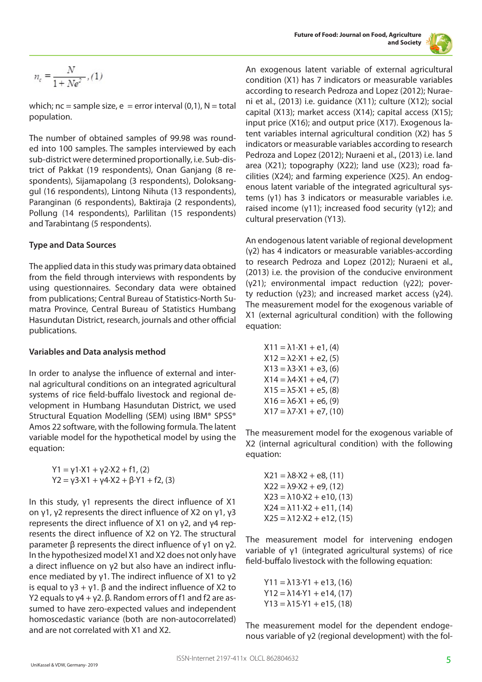

$$
n_e=\frac{N}{1+N e^2},(1)
$$

which;  $nc =$  sample size,  $e =$  error interval (0,1),  $N =$  total population.

The number of obtained samples of 99.98 was rounded into 100 samples. The samples interviewed by each sub-district were determined proportionally, i.e. Sub-district of Pakkat (19 respondents), Onan Ganjang (8 respondents), Sijamapolang (3 respondents), Doloksanggul (16 respondents), Lintong Nihuta (13 respondents), Paranginan (6 respondents), Baktiraja (2 respondents), Pollung (14 respondents), Parlilitan (15 respondents) and Tarabintang (5 respondents).

#### **Type and Data Sources**

The applied data in this study was primary data obtained from the field through interviews with respondents by using questionnaires. Secondary data were obtained from publications; Central Bureau of Statistics-North Sumatra Province, Central Bureau of Statistics Humbang Hasundutan District, research, journals and other official publications.

#### **Variables and Data analysis method**

In order to analyse the influence of external and internal agricultural conditions on an integrated agricultural systems of rice field-buffalo livestock and regional development in Humbang Hasundutan District, we used Structural Equation Modelling (SEM) using IBM® SPSS® Amos 22 software, with the following formula. The latent variable model for the hypothetical model by using the equation:

> Y1 = γ1·X1 + γ2·X2 + f1, (2)  $Y2 = \gamma 3 \cdot X1 + \gamma 4 \cdot X2 + \beta \cdot Y1 + f2$ , (3)

In this study, γ1 represents the direct influence of X1 on γ1, γ2 represents the direct influence of X2 on γ1, γ3 represents the direct influence of X1 on γ2, and γ4 represents the direct influence of X2 on Y2. The structural parameter β represents the direct influence of γ1 on γ2. In the hypothesized model X1 and X2 does not only have a direct influence on γ2 but also have an indirect influence mediated by γ1. The indirect influence of X1 to γ2 is equal to  $y$ 3 + γ1. β and the indirect influence of X2 to Y2 equals to  $y4 + y2$ .  $\beta$ . Random errors of f1 and f2 are assumed to have zero-expected values and independent homoscedastic variance (both are non-autocorrelated) and are not correlated with X1 and X2.

An exogenous latent variable of external agricultural condition (X1) has 7 indicators or measurable variables according to research Pedroza and Lopez (2012); Nuraeni et al., (2013) i.e. guidance (X11); culture (X12); social capital (X13); market access (X14); capital access (X15); input price (X16); and output price (X17). Exogenous latent variables internal agricultural condition (X2) has 5 indicators or measurable variables according to research Pedroza and Lopez (2012); Nuraeni et al., (2013) i.e. land area (X21); topography (X22); land use (X23); road facilities (X24); and farming experience (X25). An endogenous latent variable of the integrated agricultural systems (γ1) has 3 indicators or measurable variables i.e. raised income (γ11); increased food security (γ12); and cultural preservation (Y13).

An endogenous latent variable of regional development (γ2) has 4 indicators or measurable variables-according to research Pedroza and Lopez (2012); Nuraeni et al., (2013) i.e. the provision of the conducive environment (γ21); environmental impact reduction (γ22); poverty reduction (γ23); and increased market access (γ24). The measurement model for the exogenous variable of X1 (external agricultural condition) with the following equation:

$$
X11 = \lambda 1 \cdot X1 + e1, (4)
$$
  
\n
$$
X12 = \lambda 2 \cdot X1 + e2, (5)
$$
  
\n
$$
X13 = \lambda 3 \cdot X1 + e3, (6)
$$
  
\n
$$
X14 = \lambda 4 \cdot X1 + e4, (7)
$$
  
\n
$$
X15 = \lambda 5 \cdot X1 + e5, (8)
$$
  
\n
$$
X16 = \lambda 6 \cdot X1 + e6, (9)
$$
  
\n
$$
X17 = \lambda 7 \cdot X1 + e7, (10)
$$

The measurement model for the exogenous variable of X2 (internal agricultural condition) with the following equation:

 $X21 = \lambda 8 \cdot X2 + e8$ , (11)  $X22 = \lambda 9 \cdot X2 + e9$ , (12)  $X23 = \lambda 10 \cdot X2 + e10$ , (13)  $X24 = \lambda 11 \cdot X2 + e11$ , (14)  $X25 = \lambda 12 \cdot X2 + e12$ , (15)

The measurement model for intervening endogen variable of γ1 (integrated agricultural systems) of rice field-buffalo livestock with the following equation:

 $Y11 = \lambda 13 \cdot Y1 + e13$ , (16)  $Y12 = \lambda 14. Y1 + e14, (17)$  $Y13 = \lambda 15 \cdot Y1 + e15$ , (18)

The measurement model for the dependent endogenous variable of γ2 (regional development) with the fol-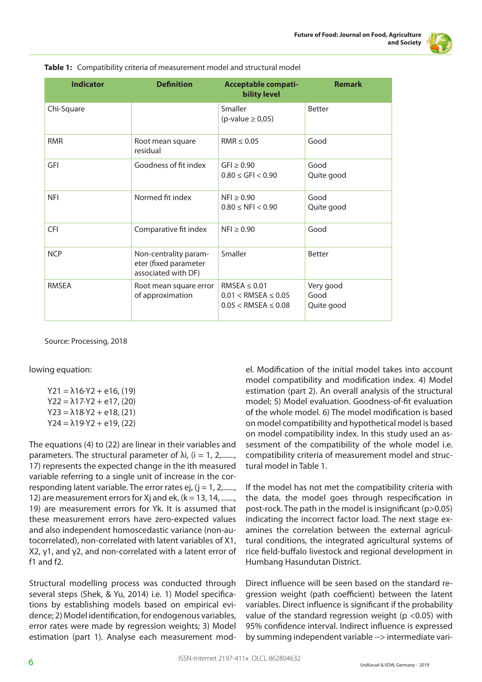|--|

| <b>Indicator</b> | <b>Definition</b>                                                     | <b>Acceptable compati-</b><br><b>bility level</b>                             | <b>Remark</b>                   |
|------------------|-----------------------------------------------------------------------|-------------------------------------------------------------------------------|---------------------------------|
| Chi-Square       |                                                                       | Smaller<br>(p-value $\geq$ 0,05)                                              | <b>Better</b>                   |
| <b>RMR</b>       | Root mean square<br>residual                                          | RMR < 0.05                                                                    | Good                            |
| GFI              | Goodness of fit index                                                 | $GFI \geq 0.90$<br>$0.80 \leq$ GFI $< 0.90$                                   | Good<br>Quite good              |
| <b>NFI</b>       | Normed fit index                                                      | $NFI \geq 0.90$<br>$0.80 \leq NFI < 0.90$                                     | Good<br>Quite good              |
| <b>CFI</b>       | Comparative fit index                                                 | $NFI \geq 0.90$                                                               | Good                            |
| <b>NCP</b>       | Non-centrality param-<br>eter (fixed parameter<br>associated with DF) | Smaller                                                                       | <b>Better</b>                   |
| <b>RMSFA</b>     | Root mean square error<br>of approximation                            | RMSEA $\leq$ 0.01<br>$0.01 <$ RMSEA $\leq 0.05$<br>$0.05 <$ RMSEA $\leq 0.08$ | Very good<br>Good<br>Quite good |

| Table 1: Compatibility criteria of measurement model and structural model |  |  |  |  |  |
|---------------------------------------------------------------------------|--|--|--|--|--|
|---------------------------------------------------------------------------|--|--|--|--|--|

Source: Processing, 2018

lowing equation:

 $Y21 = \lambda 16 \cdot Y2 + e16$ , (19)  $Y22 = \lambda 17.Y2 + e17$ , (20)  $Y23 = \lambda 18 \cdot Y2 + e18$ , (21)  $Y24 = \lambda 19.Y2 + e19, (22)$ 

The equations (4) to (22) are linear in their variables and parameters. The structural parameter of  $\lambda i$ , (i = 1, 2,......., 17) represents the expected change in the ith measured variable referring to a single unit of increase in the corresponding latent variable. The error rates ej,  $(j = 1, 2, \ldots)$ 12) are measurement errors for Xj and ek,  $(k = 13, 14, \ldots)$ 19) are measurement errors for Yk. It is assumed that these measurement errors have zero-expected values and also independent homoscedastic variance (non-autocorrelated), non-correlated with latent variables of X1, X2, γ1, and γ2, and non-correlated with a latent error of f1 and f2.

Structural modelling process was conducted through several steps (Shek, & Yu, 2014) i.e. 1) Model specifications by establishing models based on empirical evidence; 2) Model identification, for endogenous variables, error rates were made by regression weights; 3) Model estimation (part 1). Analyse each measurement model. Modification of the initial model takes into account model compatibility and modification index. 4) Model estimation (part 2). An overall analysis of the structural model; 5) Model evaluation. Goodness-of-fit evaluation of the whole model. 6) The model modification is based on model compatibility and hypothetical model is based on model compatibility index. In this study used an assessment of the compatibility of the whole model i.e. compatibility criteria of measurement model and structural model in Table 1.

If the model has not met the compatibility criteria with the data, the model goes through respecification in post-rock. The path in the model is insignificant (p>0.05) indicating the incorrect factor load. The next stage examines the correlation between the external agricultural conditions, the integrated agricultural systems of rice field-buffalo livestock and regional development in Humbang Hasundutan District.

Direct influence will be seen based on the standard regression weight (path coefficient) between the latent variables. Direct influence is significant if the probability value of the standard regression weight ( $p$  <0.05) with 95% confidence interval. Indirect influence is expressed by summing independent variable --> intermediate vari-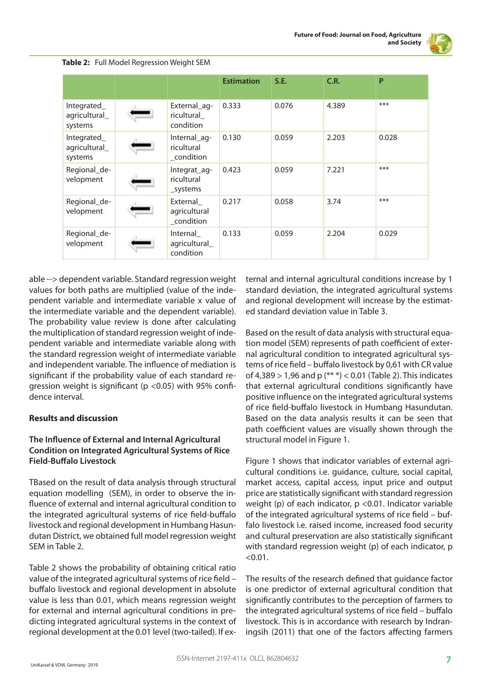

|                                         |                                          | <b>Estimation</b> | S.E.  | C.R.  | P     |
|-----------------------------------------|------------------------------------------|-------------------|-------|-------|-------|
| Integrated_<br>agricultural_<br>systems | External_ag-<br>ricultural<br>condition  | 0.333             | 0.076 | 4.389 | $***$ |
| Integrated_<br>agricultural_<br>systems | Internal_ag-<br>ricultural<br>_condition | 0.130             | 0.059 | 2.203 | 0.028 |
| Regional_de-<br>velopment               | Integrat_ag-<br>ricultural<br>_systems   | 0.423             | 0.059 | 7.221 | $***$ |
| Regional_de-<br>velopment               | External<br>agricultural<br>condition    | 0.217             | 0.058 | 3.74  | $***$ |
| Regional_de-<br>velopment               | Internal<br>agricultural_<br>condition   | 0.133             | 0.059 | 2.204 | 0.029 |

#### **Table 2:** Full Model Regression Weight SEM

able --> dependent variable. Standard regression weight values for both paths are multiplied (value of the independent variable and intermediate variable x value of the intermediate variable and the dependent variable). The probability value review is done after calculating the multiplication of standard regression weight of independent variable and intermediate variable along with the standard regression weight of intermediate variable and independent variable. The influence of mediation is significant if the probability value of each standard regression weight is significant ( $p$  <0.05) with 95% confidence interval.

#### **Results and discussion**

#### **The Influence of External and Internal Agricultural Condition on Integrated Agricultural Systems of Rice Field-Buffalo Livestock**

TBased on the result of data analysis through structural equation modelling (SEM), in order to observe the influence of external and internal agricultural condition to the integrated agricultural systems of rice field-buffalo livestock and regional development in Humbang Hasundutan District, we obtained full model regression weight SEM in Table 2.

Table 2 shows the probability of obtaining critical ratio value of the integrated agricultural systems of rice field – buffalo livestock and regional development in absolute value is less than 0.01, which means regression weight for external and internal agricultural conditions in predicting integrated agricultural systems in the context of regional development at the 0.01 level (two-tailed). If external and internal agricultural conditions increase by 1 standard deviation, the integrated agricultural systems and regional development will increase by the estimated standard deviation value in Table 3.

Based on the result of data analysis with structural equation model (SEM) represents of path coefficient of external agricultural condition to integrated agricultural systems of rice field – buffalo livestock by 0,61 with CR value of 4,389 > 1,96 and p (\*\* \*) < 0.01 (Table 2). This indicates that external agricultural conditions significantly have positive influence on the integrated agricultural systems of rice field-buffalo livestock in Humbang Hasundutan. Based on the data analysis results it can be seen that path coefficient values are visually shown through the structural model in Figure 1.

Figure 1 shows that indicator variables of external agricultural conditions i.e. guidance, culture, social capital, market access, capital access, input price and output price are statistically significant with standard regression weight (p) of each indicator,  $p < 0.01$ . Indicator variable of the integrated agricultural systems of rice field – buffalo livestock i.e. raised income, increased food security and cultural preservation are also statistically significant with standard regression weight (p) of each indicator, p  $< 0.01$ .

The results of the research defined that guidance factor is one predictor of external agricultural condition that significantly contributes to the perception of farmers to the integrated agricultural systems of rice field – buffalo livestock. This is in accordance with research by Indraningsih (2011) that one of the factors affecting farmers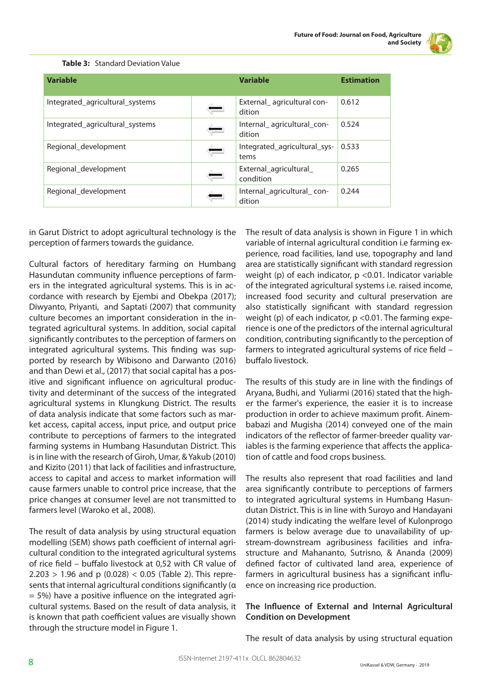

| <b>Variable</b>                 | <b>Variable</b>                      | <b>Estimation</b> |
|---------------------------------|--------------------------------------|-------------------|
| Integrated_agricultural_systems | External agricultural con-<br>dition | 0.612             |
| Integrated_agricultural_systems | Internal agricultural con-<br>dition | 0.524             |
| Regional_development            | Integrated_agricultural_sys-<br>tems | 0.533             |
| Regional development            | External_agricultural_<br>condition  | 0.265             |
| Regional development            | Internal agricultural con-<br>dition | 0.244             |

#### **Table 3:** Standard Deviation Value

in Garut District to adopt agricultural technology is the perception of farmers towards the guidance.

Cultural factors of hereditary farming on Humbang Hasundutan community influence perceptions of farmers in the integrated agricultural systems. This is in accordance with research by Ejembi and Obekpa (2017); Diwyanto, Priyanti, and Saptati (2007) that community culture becomes an important consideration in the integrated agricultural systems. In addition, social capital significantly contributes to the perception of farmers on integrated agricultural systems. This finding was supported by research by Wibisono and Darwanto (2016) and than Dewi et al., (2017) that social capital has a positive and significant influence on agricultural productivity and determinant of the success of the integrated agricultural systems in Klungkung District. The results of data analysis indicate that some factors such as market access, capital access, input price, and output price contribute to perceptions of farmers to the integrated farming systems in Humbang Hasundutan District. This is in line with the research of Giroh, Umar, & Yakub (2010) and Kizito (2011) that lack of facilities and infrastructure, access to capital and access to market information will cause farmers unable to control price increase, that the price changes at consumer level are not transmitted to farmers level (Waroko et al., 2008).

The result of data analysis by using structural equation modelling (SEM) shows path coefficient of internal agricultural condition to the integrated agricultural systems of rice field – buffalo livestock at 0,52 with CR value of  $2.203 > 1.96$  and p (0.028) < 0.05 (Table 2). This represents that internal agricultural conditions significantly (α  $= 5\%$ ) have a positive influence on the integrated agricultural systems. Based on the result of data analysis, it is known that path coefficient values are visually shown through the structure model in Figure 1.

The result of data analysis is shown in Figure 1 in which variable of internal agricultural condition i.e farming experience, road facilities, land use, topography and land area are statistically significant with standard regression weight (p) of each indicator,  $p < 0.01$ . Indicator variable of the integrated agricultural systems i.e. raised income, increased food security and cultural preservation are also statistically significant with standard regression weight (p) of each indicator,  $p$  <0.01. The farming experience is one of the predictors of the internal agricultural condition, contributing significantly to the perception of farmers to integrated agricultural systems of rice field – buffalo livestock.

The results of this study are in line with the findings of Aryana, Budhi, and Yuliarmi (2016) stated that the higher the farmer's experience, the easier it is to increase production in order to achieve maximum profit. Ainembabazi and Mugisha (2014) conveyed one of the main indicators of the reflector of farmer-breeder quality variables is the farming experience that affects the application of cattle and food crops business.

The results also represent that road facilities and land area significantly contribute to perceptions of farmers to integrated agricultural systems in Humbang Hasundutan District. This is in line with Suroyo and Handayani (2014) study indicating the welfare level of Kulonprogo farmers is below average due to unavailability of upstream-downstream agribusiness facilities and infrastructure and Mahananto, Sutrisno, & Ananda (2009) defined factor of cultivated land area, experience of farmers in agricultural business has a significant influence on increasing rice production.

# **The Influence of External and Internal Agricultural Condition on Development**

The result of data analysis by using structural equation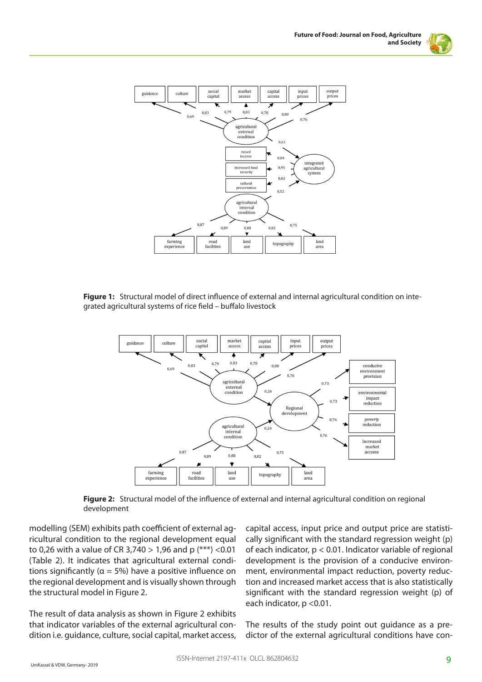



Figure 1: Structural model of direct influence of external and internal agricultural condition on integrated agricultural systems of rice field – buffalo livestock



**Figure 2:** Structural model of the influence of external and internal agricultural condition on regional development

modelling (SEM) exhibits path coefficient of external agricultural condition to the regional development equal to 0,26 with a value of CR 3,740 > 1,96 and p (\*\*\*) <0.01 (Table 2). It indicates that agricultural external conditions significantly ( $\alpha$  = 5%) have a positive influence on the regional development and is visually shown through the structural model in Figure 2.

The result of data analysis as shown in Figure 2 exhibits that indicator variables of the external agricultural condition i.e. guidance, culture, social capital, market access,

capital access, input price and output price are statistically significant with the standard regression weight (p) of each indicator, p < 0.01. Indicator variable of regional development is the provision of a conducive environment, environmental impact reduction, poverty reduction and increased market access that is also statistically significant with the standard regression weight (p) of each indicator, p <0.01.

The results of the study point out guidance as a predictor of the external agricultural conditions have con-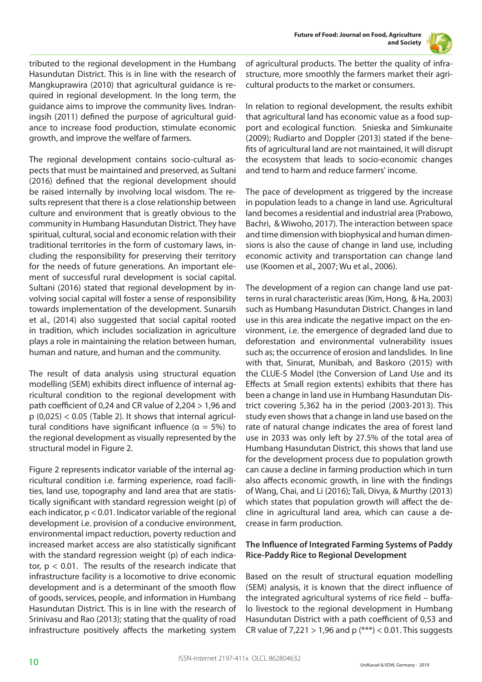

tributed to the regional development in the Humbang Hasundutan District. This is in line with the research of Mangkuprawira (2010) that agricultural guidance is required in regional development. In the long term, the guidance aims to improve the community lives. Indraningsih (2011) defined the purpose of agricultural guidance to increase food production, stimulate economic growth, and improve the welfare of farmers.

The regional development contains socio-cultural aspects that must be maintained and preserved, as Sultani (2016) defined that the regional development should be raised internally by involving local wisdom. The results represent that there is a close relationship between culture and environment that is greatly obvious to the community in Humbang Hasundutan District. They have spiritual, cultural, social and economic relation with their traditional territories in the form of customary laws, including the responsibility for preserving their territory for the needs of future generations. An important element of successful rural development is social capital. Sultani (2016) stated that regional development by involving social capital will foster a sense of responsibility towards implementation of the development. Sunarsih et al., (2014) also suggested that social capital rooted in tradition, which includes socialization in agriculture plays a role in maintaining the relation between human, human and nature, and human and the community.

The result of data analysis using structural equation modelling (SEM) exhibits direct influence of internal agricultural condition to the regional development with path coefficient of 0,24 and CR value of 2,204 > 1,96 and  $p(0,025) < 0.05$  (Table 2). It shows that internal agricultural conditions have significant influence ( $α = 5%$ ) to the regional development as visually represented by the structural model in Figure 2.

Figure 2 represents indicator variable of the internal agricultural condition i.e. farming experience, road facilities, land use, topography and land area that are statistically significant with standard regression weight (p) of each indicator, p < 0.01. Indicator variable of the regional development i.e. provision of a conducive environment, environmental impact reduction, poverty reduction and increased market access are also statistically significant with the standard regression weight (p) of each indicator,  $p < 0.01$ . The results of the research indicate that infrastructure facility is a locomotive to drive economic development and is a determinant of the smooth flow of goods, services, people, and information in Humbang Hasundutan District. This is in line with the research of Srinivasu and Rao (2013); stating that the quality of road infrastructure positively affects the marketing system

of agricultural products. The better the quality of infrastructure, more smoothly the farmers market their agricultural products to the market or consumers.

In relation to regional development, the results exhibit that agricultural land has economic value as a food support and ecological function. Snieska and Simkunaite (2009); Rudiarto and Doppler (2013) stated if the benefits of agricultural land are not maintained, it will disrupt the ecosystem that leads to socio-economic changes and tend to harm and reduce farmers' income.

The pace of development as triggered by the increase in population leads to a change in land use. Agricultural land becomes a residential and industrial area (Prabowo, Bachri, & Wiwoho, 2017). The interaction between space and time dimension with biophysical and human dimensions is also the cause of change in land use, including economic activity and transportation can change land use (Koomen et al., 2007; Wu et al., 2006).

The development of a region can change land use patterns in rural characteristic areas (Kim, Hong, & Ha, 2003) such as Humbang Hasundutan District. Changes in land use in this area indicate the negative impact on the environment, i.e. the emergence of degraded land due to deforestation and environmental vulnerability issues such as; the occurrence of erosion and landslides. In line with that, Sinurat, Munibah, and Baskoro (2015) with the CLUE-S Model (the Conversion of Land Use and its Effects at Small region extents) exhibits that there has been a change in land use in Humbang Hasundutan District covering 5,362 ha in the period (2003-2013). This study even shows that a change in land use based on the rate of natural change indicates the area of forest land use in 2033 was only left by 27.5% of the total area of Humbang Hasundutan District, this shows that land use for the development process due to population growth can cause a decline in farming production which in turn also affects economic growth, in line with the findings of Wang, Chai, and Li (2016); Tali, Divya, & Murthy (2013) which states that population growth will affect the decline in agricultural land area, which can cause a decrease in farm production.

# **The Influence of Integrated Farming Systems of Paddy Rice-Paddy Rice to Regional Development**

Based on the result of structural equation modelling (SEM) analysis, it is known that the direct influence of the integrated agricultural systems of rice field – buffalo livestock to the regional development in Humbang Hasundutan District with a path coefficient of 0,53 and CR value of 7,221 > 1,96 and p  $(***$ ) < 0.01. This suggests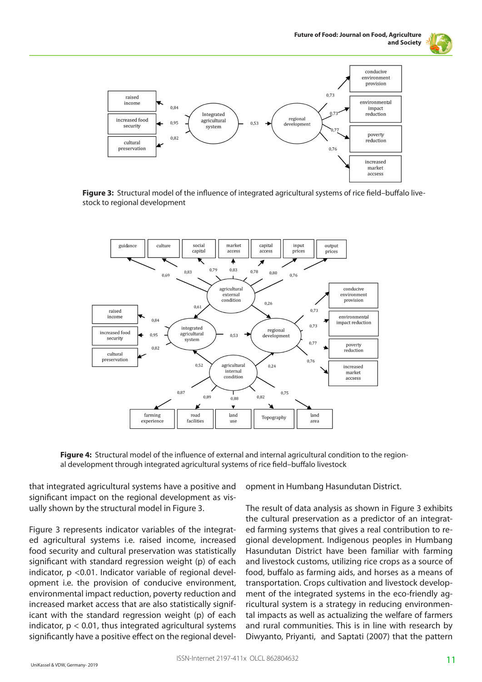



**Figure 3:** Structural model of the influence of integrated agricultural systems of rice field–buffalo livestock to regional development



**Figure 4:** Structural model of the influence of external and internal agricultural condition to the regional development through integrated agricultural systems of rice field–buffalo livestock

that integrated agricultural systems have a positive and significant impact on the regional development as visually shown by the structural model in Figure 3.

Figure 3 represents indicator variables of the integrated agricultural systems i.e. raised income, increased food security and cultural preservation was statistically significant with standard regression weight (p) of each indicator, p <0.01. Indicator variable of regional development i.e. the provision of conducive environment, environmental impact reduction, poverty reduction and increased market access that are also statistically significant with the standard regression weight (p) of each indicator,  $p < 0.01$ , thus integrated agricultural systems significantly have a positive effect on the regional development in Humbang Hasundutan District.

The result of data analysis as shown in Figure 3 exhibits the cultural preservation as a predictor of an integrated farming systems that gives a real contribution to regional development. Indigenous peoples in Humbang Hasundutan District have been familiar with farming and livestock customs, utilizing rice crops as a source of food, buffalo as farming aids, and horses as a means of transportation. Crops cultivation and livestock development of the integrated systems in the eco-friendly agricultural system is a strategy in reducing environmental impacts as well as actualizing the welfare of farmers and rural communities. This is in line with research by Diwyanto, Priyanti, and Saptati (2007) that the pattern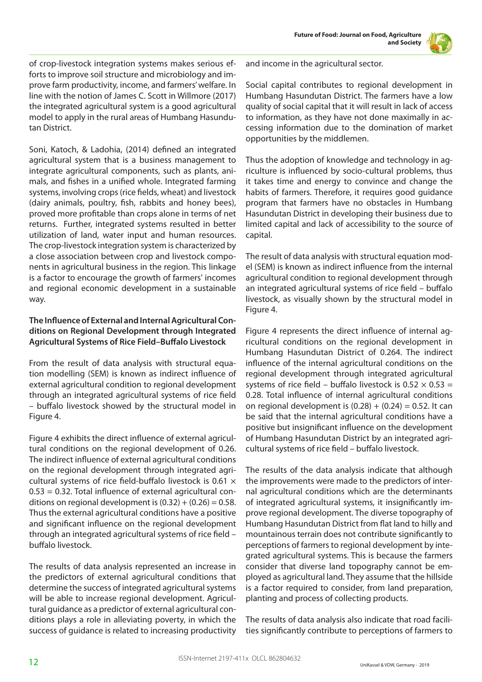

of crop-livestock integration systems makes serious efforts to improve soil structure and microbiology and improve farm productivity, income, and farmers' welfare. In line with the notion of James C. Scott in Willmore (2017) the integrated agricultural system is a good agricultural model to apply in the rural areas of Humbang Hasundutan District.

Soni, Katoch, & Ladohia, (2014) defined an integrated agricultural system that is a business management to integrate agricultural components, such as plants, animals, and fishes in a unified whole. Integrated farming systems, involving crops (rice fields, wheat) and livestock (dairy animals, poultry, fish, rabbits and honey bees), proved more profitable than crops alone in terms of net returns. Further, integrated systems resulted in better utilization of land, water input and human resources. The crop-livestock integration system is characterized by a close association between crop and livestock components in agricultural business in the region. This linkage is a factor to encourage the growth of farmers' incomes and regional economic development in a sustainable way.

# **The Influence of External and Internal Agricultural Conditions on Regional Development through Integrated Agricultural Systems of Rice Field–Buffalo Livestock**

From the result of data analysis with structural equation modelling (SEM) is known as indirect influence of external agricultural condition to regional development through an integrated agricultural systems of rice field – buffalo livestock showed by the structural model in Figure 4.

Figure 4 exhibits the direct influence of external agricultural conditions on the regional development of 0.26. The indirect influence of external agricultural conditions on the regional development through integrated agricultural systems of rice field-buffalo livestock is 0.61  $\times$ 0.53 = 0.32. Total influence of external agricultural conditions on regional development is  $(0.32) + (0.26) = 0.58$ . Thus the external agricultural conditions have a positive and significant influence on the regional development through an integrated agricultural systems of rice field – buffalo livestock.

The results of data analysis represented an increase in the predictors of external agricultural conditions that determine the success of integrated agricultural systems will be able to increase regional development. Agricultural guidance as a predictor of external agricultural conditions plays a role in alleviating poverty, in which the success of guidance is related to increasing productivity and income in the agricultural sector.

Social capital contributes to regional development in Humbang Hasundutan District. The farmers have a low quality of social capital that it will result in lack of access to information, as they have not done maximally in accessing information due to the domination of market opportunities by the middlemen.

Thus the adoption of knowledge and technology in agriculture is influenced by socio-cultural problems, thus it takes time and energy to convince and change the habits of farmers. Therefore, it requires good guidance program that farmers have no obstacles in Humbang Hasundutan District in developing their business due to limited capital and lack of accessibility to the source of capital.

The result of data analysis with structural equation model (SEM) is known as indirect influence from the internal agricultural condition to regional development through an integrated agricultural systems of rice field – buffalo livestock, as visually shown by the structural model in Figure 4.

Figure 4 represents the direct influence of internal agricultural conditions on the regional development in Humbang Hasundutan District of 0.264. The indirect influence of the internal agricultural conditions on the regional development through integrated agricultural systems of rice field – buffalo livestock is  $0.52 \times 0.53 =$ 0.28. Total influence of internal agricultural conditions on regional development is  $(0.28) + (0.24) = 0.52$ . It can be said that the internal agricultural conditions have a positive but insignificant influence on the development of Humbang Hasundutan District by an integrated agricultural systems of rice field – buffalo livestock.

The results of the data analysis indicate that although the improvements were made to the predictors of internal agricultural conditions which are the determinants of integrated agricultural systems, it insignificantly improve regional development. The diverse topography of Humbang Hasundutan District from flat land to hilly and mountainous terrain does not contribute significantly to perceptions of farmers to regional development by integrated agricultural systems. This is because the farmers consider that diverse land topography cannot be employed as agricultural land. They assume that the hillside is a factor required to consider, from land preparation, planting and process of collecting products.

The results of data analysis also indicate that road facilities significantly contribute to perceptions of farmers to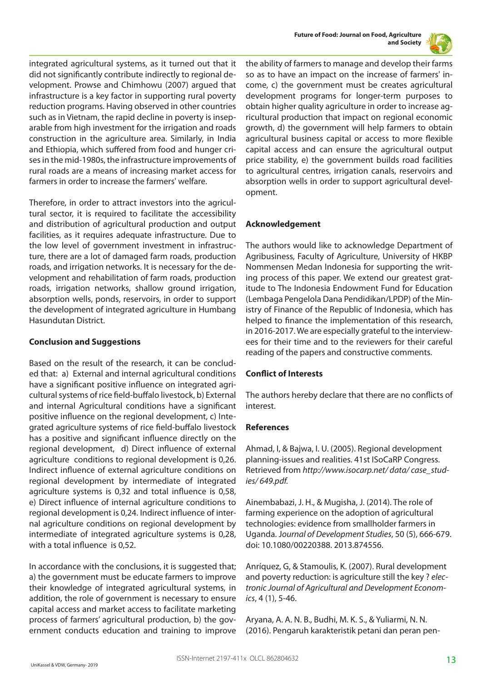



integrated agricultural systems, as it turned out that it did not significantly contribute indirectly to regional development. Prowse and Chimhowu (2007) argued that infrastructure is a key factor in supporting rural poverty reduction programs. Having observed in other countries such as in Vietnam, the rapid decline in poverty is inseparable from high investment for the irrigation and roads construction in the agriculture area. Similarly, in India and Ethiopia, which suffered from food and hunger crises in the mid-1980s, the infrastructure improvements of rural roads are a means of increasing market access for farmers in order to increase the farmers' welfare.

Therefore, in order to attract investors into the agricultural sector, it is required to facilitate the accessibility and distribution of agricultural production and output facilities, as it requires adequate infrastructure. Due to the low level of government investment in infrastructure, there are a lot of damaged farm roads, production roads, and irrigation networks. It is necessary for the development and rehabilitation of farm roads, production roads, irrigation networks, shallow ground irrigation, absorption wells, ponds, reservoirs, in order to support the development of integrated agriculture in Humbang Hasundutan District.

#### **Conclusion and Suggestions**

Based on the result of the research, it can be concluded that: a) External and internal agricultural conditions have a significant positive influence on integrated agricultural systems of rice field-buffalo livestock, b) External and internal Agricultural conditions have a significant positive influence on the regional development, c) Integrated agriculture systems of rice field-buffalo livestock has a positive and significant influence directly on the regional development, d) Direct influence of external agriculture conditions to regional development is 0,26. Indirect influence of external agriculture conditions on regional development by intermediate of integrated agriculture systems is 0,32 and total influence is 0,58, e) Direct influence of internal agriculture conditions to regional development is 0,24. Indirect influence of internal agriculture conditions on regional development by intermediate of integrated agriculture systems is 0,28, with a total influence is 0,52.

In accordance with the conclusions, it is suggested that; a) the government must be educate farmers to improve their knowledge of integrated agricultural systems, in addition, the role of government is necessary to ensure capital access and market access to facilitate marketing process of farmers' agricultural production, b) the government conducts education and training to improve

the ability of farmers to manage and develop their farms so as to have an impact on the increase of farmers' income, c) the government must be creates agricultural development programs for longer-term purposes to obtain higher quality agriculture in order to increase agricultural production that impact on regional economic growth, d) the government will help farmers to obtain agricultural business capital or access to more flexible capital access and can ensure the agricultural output price stability, e) the government builds road facilities to agricultural centres, irrigation canals, reservoirs and absorption wells in order to support agricultural development.

#### **Acknowledgement**

The authors would like to acknowledge Department of Agribusiness, Faculty of Agriculture, University of HKBP Nommensen Medan Indonesia for supporting the writing process of this paper. We extend our greatest gratitude to The Indonesia Endowment Fund for Education (Lembaga Pengelola Dana Pendidikan/LPDP) of the Ministry of Finance of the Republic of Indonesia, which has helped to finance the implementation of this research, in 2016-2017. We are especially grateful to the interviewees for their time and to the reviewers for their careful reading of the papers and constructive comments.

#### **Conflict of Interests**

The authors hereby declare that there are no conflicts of interest.

#### **References**

Ahmad, I, & Bajwa, I. U. (2005). Regional development planning-issues and realities. 41st ISoCaRP Congress. Retrieved from *http://www.isocarp.net/ data/ case\_studies/ 649.pdf.* 

Ainembabazi, J. H., & Mugisha, J. (2014). The role of farming experience on the adoption of agricultural technologies: evidence from smallholder farmers in Uganda. J*ournal of Development Studies*, 50 (5), 666-679. doi: 10.1080/00220388. 2013.874556.

Anríquez, G, & Stamoulis, K. (2007). Rural development and poverty reduction: is agriculture still the key ? *electronic Journal of Agricultural and Development Economics*, 4 (1), 5-46.

Aryana, A. A. N. B., Budhi, M. K. S., & Yuliarmi, N. N. (2016). Pengaruh karakteristik petani dan peran pen-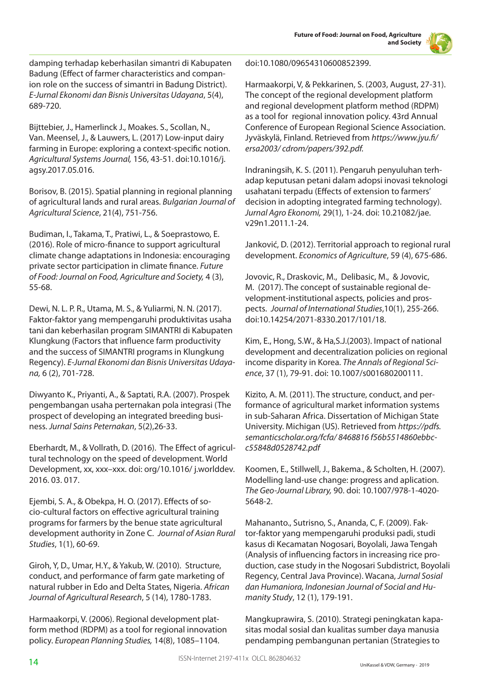**Future of Food: Journal on Food, Agriculture and Society**



damping terhadap keberhasilan simantri di Kabupaten Badung (Effect of farmer characteristics and companion role on the success of simantri in Badung District). *E-Jurnal Ekonomi dan Bisnis Universitas Udayana*, 5(4), 689-720.

Bijttebier, J., Hamerlinck J., Moakes. S., Scollan, N., Van. Meensel, J., & Lauwers, L. (2017) Low-input dairy farming in Europe: exploring a context-specific notion. *Agricultural Systems Journal,* 156, 43-51. doi:10.1016/j. agsy.2017.05.016.

Borisov, B. (2015). Spatial planning in regional planning of agricultural lands and rural areas. *Bulgarian Journal of Agricultural Science*, 21(4), 751-756.

Budiman, I., Takama, T., Pratiwi, L., & Soeprastowo, E. (2016). Role of micro-finance to support agricultural climate change adaptations in Indonesia: encouraging private sector participation in climate finance. *Future of Food: Journal on Food, Agriculture and Society,* 4 (3), 55-68.

Dewi, N. L. P. R., Utama, M. S., & Yuliarmi, N. N. (2017). Faktor-faktor yang mempengaruhi produktivitas usaha tani dan keberhasilan program SIMANTRI di Kabupaten Klungkung (Factors that influence farm productivity and the success of SIMANTRI programs in Klungkung Regency). *E-Jurnal Ekonomi dan Bisnis Universitas Udayana,* 6 (2), 701-728.

Diwyanto K., Priyanti, A., & Saptati, R.A. (2007). Prospek pengembangan usaha perternakan pola integrasi (The prospect of developing an integrated breeding business. *Jurnal Sains Peternakan*, 5(2),26-33.

Eberhardt, M., & Vollrath, D. (2016). The Effect of agricultural technology on the speed of development. World Development, xx, xxx–xxx. doi: org/10.1016/ j.worlddev. 2016. 03. 017.

Ejembi, S. A., & Obekpa, H. O. (2017). Effects of socio-cultural factors on effective agricultural training programs for farmers by the benue state agricultural development authority in Zone C. *Journal of Asian Rural Studies*, 1(1), 60-69.

Giroh, Y, D., Umar, H.Y., & Yakub, W. (2010). Structure, conduct, and performance of farm gate marketing of natural rubber in Edo and Delta States, Nigeria. *African Journal of Agricultural Research*, 5 (14), 1780-1783.

Harmaakorpi, V. (2006). Regional development platform method (RDPM) as a tool for regional innovation policy. *European Planning Studies,* 14(8), 1085–1104.

doi:10.1080/09654310600852399.

Harmaakorpi, V, & Pekkarinen, S. (2003, August, 27-31). The concept of the regional development platform and regional development platform method (RDPM) as a tool for regional innovation policy. 43rd Annual Conference of European Regional Science Association. Jyväskylä, Finland. Retrieved from *https://www.jyu.fi/ ersa2003/ cdrom/papers/392.pdf.*

Indraningsih, K. S. (2011). Pengaruh penyuluhan terhadap keputusan petani dalam adopsi inovasi teknologi usahatani terpadu (Effects of extension to farmers' decision in adopting integrated farming technology). *Jurnal Agro Ekonomi,* 29(1), 1-24. doi: 10.21082/jae. v29n1.2011.1-24.

Janković, D. (2012). Territorial approach to regional rural development. *Economics of Agriculture*, 59 (4), 675-686.

Jovovic, R., Draskovic, M., Delibasic, M., & Jovovic, M. (2017). The concept of sustainable regional development-institutional aspects, policies and prospects. *Journal of International Studies*,10(1), 255-266. doi:10.14254/2071-8330.2017/101/18.

Kim, E., Hong, S.W., & Ha,S.J.(2003). Impact of national development and decentralization policies on regional income disparity in Korea. *The Annals of Regional Science*, 37 (1), 79-91. doi: 10.1007/s001680200111.

Kizito, A. M. (2011). The structure, conduct, and performance of agricultural market information systems in sub-Saharan Africa. Dissertation of Michigan State University. Michigan (US). Retrieved from *https://pdfs. semanticscholar.org/fcfa/ 8468816 f56b5514860ebbcc55848d0528742.pdf*

Koomen, E., Stillwell, J., Bakema., & Scholten, H. (2007). Modelling land-use change: progress and aplication. *The Geo-Journal Library,* 90. doi: 10.1007/978-1-4020- 5648-2.

Mahananto., Sutrisno, S., Ananda, C, F. (2009). Faktor-faktor yang mempengaruhi produksi padi, studi kasus di Kecamatan Nogosari, Boyolali, Jawa Tengah (Analysis of influencing factors in increasing rice production, case study in the Nogosari Subdistrict, Boyolali Regency, Central Java Province). Wacana, *Jurnal Sosial dan Humaniora, Indonesian Journal of Social and Humanity Study*, 12 (1), 179-191.

Mangkuprawira, S. (2010). Strategi peningkatan kapasitas modal sosial dan kualitas sumber daya manusia pendamping pembangunan pertanian (Strategies to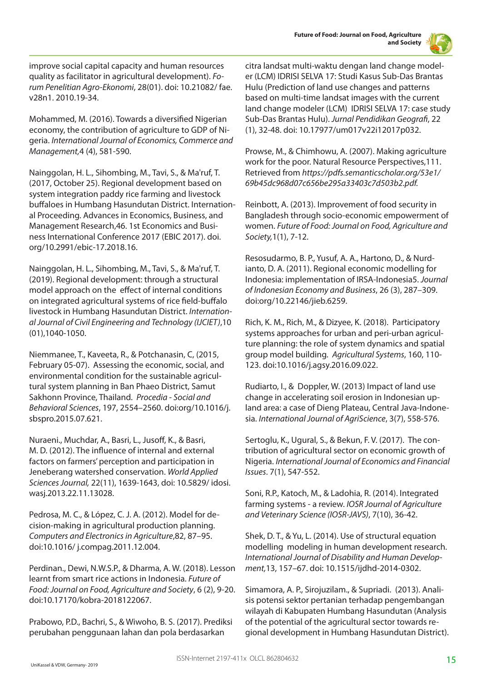

improve social capital capacity and human resources quality as facilitator in agricultural development). *Forum Penelitian Agro-Ekonomi*, 28(01). doi: 10.21082/ fae. v28n1. 2010.19-34.

Mohammed, M. (2016). Towards a diversified Nigerian economy, the contribution of agriculture to GDP of Nigeria. *International Journal of Economics, Commerce and Management,*4 (4), 581-590.

Nainggolan, H. L., Sihombing, M., Tavi, S., & Ma'ruf, T. (2017, October 25). Regional development based on system integration paddy rice farming and livestock buffaloes in Humbang Hasundutan District. International Proceeding. Advances in Economics, Business, and Management Research,46. 1st Economics and Business International Conference 2017 (EBIC 2017). doi. org/10.2991/ebic-17.2018.16.

Nainggolan, H. L., Sihombing, M., Tavi, S., & Ma'ruf, T. (2019). Regional development: through a structural model approach on the effect of internal conditions on integrated agricultural systems of rice field-buffalo livestock in Humbang Hasundutan District. *International Journal of Civil Engineering and Technology (IJCIET)*,10 (01),1040-1050.

Niemmanee, T., Kaveeta, R., & Potchanasin, C, (2015, February 05-07). Assessing the economic, social, and environmental condition for the sustainable agricultural system planning in Ban Phaeo District, Samut Sakhonn Province, Thailand. *Procedia - Social and Behavioral Sciences*, 197, 2554–2560. doi:org/10.1016/j. sbspro.2015.07.621.

Nuraeni., Muchdar, A., Basri, L., Jusoff, K., & Basri, M. D. (2012). The influence of internal and external factors on farmers' perception and participation in Jeneberang watershed conservation. *World Applied Sciences Journal,* 22(11), 1639-1643, doi: 10.5829/ idosi. wasj.2013.22.11.13028.

Pedrosa, M. C., & López, C. J. A. (2012). Model for decision-making in agricultural production planning. *Computers and Electronics in Agriculture*,82, 87–95. doi:10.1016/ j.compag.2011.12.004.

Perdinan., Dewi, N.W.S.P., & Dharma, A. W. (2018). Lesson learnt from smart rice actions in Indonesia. *Future of Food: Journal on Food, Agriculture and Society*, 6 (2), 9-20. doi:10.17170/kobra-2018122067.

Prabowo, P.D., Bachri, S., & Wiwoho, B. S. (2017). Prediksi perubahan penggunaan lahan dan pola berdasarkan

citra landsat multi-waktu dengan land change modeler (LCM) IDRISI SELVA 17: Studi Kasus Sub-Das Brantas Hulu (Prediction of land use changes and patterns based on multi-time landsat images with the current land change modeler (LCM) IDRISI SELVA 17: case study Sub-Das Brantas Hulu). *Jurnal Pendidikan Geografi*, 22 (1), 32-48. doi: 10.17977/um017v22i12017p032.

Prowse, M., & Chimhowu, A. (2007). Making agriculture work for the poor. Natural Resource Perspectives,111. Retrieved from *https://pdfs.semanticscholar.org/53e1/ 69b45dc968d07c656be295a33403c7d503b2.pdf.*

Reinbott, A. (2013). Improvement of food security in Bangladesh through socio-economic empowerment of women. *Future of Food: Journal on Food, Agriculture and Society,*1(1), 7-12.

Resosudarmo, B. P., Yusuf, A. A., Hartono, D., & Nurdianto, D. A. (2011). Regional economic modelling for Indonesia: implementation of IRSA-Indonesia5. *Journal of Indonesian Economy and Business*, 26 (3), 287–309. doi:org/10.22146/jieb.6259.

Rich, K. M., Rich, M., & Dizyee, K. (2018). Participatory systems approaches for urban and peri-urban agriculture planning: the role of system dynamics and spatial group model building. *Agricultural Systems*, 160, 110- 123. doi:10.1016/j.agsy.2016.09.022.

Rudiarto, I., & Doppler, W. (2013) Impact of land use change in accelerating soil erosion in Indonesian upland area: a case of Dieng Plateau, Central Java-Indonesia. *International Journal of AgriScience*, 3(7), 558-576.

Sertoglu, K., Ugural, S., & Bekun, F. V. (2017). The contribution of agricultural sector on economic growth of Nigeria. *International Journal of Economics and Financial Issues*. 7(1), 547-552.

Soni, R.P., Katoch, M., & Ladohia, R. (2014). Integrated farming systems - a review. *IOSR Journal of Agriculture and Veterinary Science (IOSR-JAVS)*, 7(10), 36-42.

Shek, D. T., & Yu, L. (2014). Use of structural equation modelling modeling in human development research. *International Journal of Disability and Human Development,*13, 157–67. doi: 10.1515/ijdhd-2014-0302.

Simamora, A. P., Sirojuzilam., & Supriadi. (2013). Analisis potensi sektor pertanian terhadap pengembangan wilayah di Kabupaten Humbang Hasundutan (Analysis of the potential of the agricultural sector towards regional development in Humbang Hasundutan District).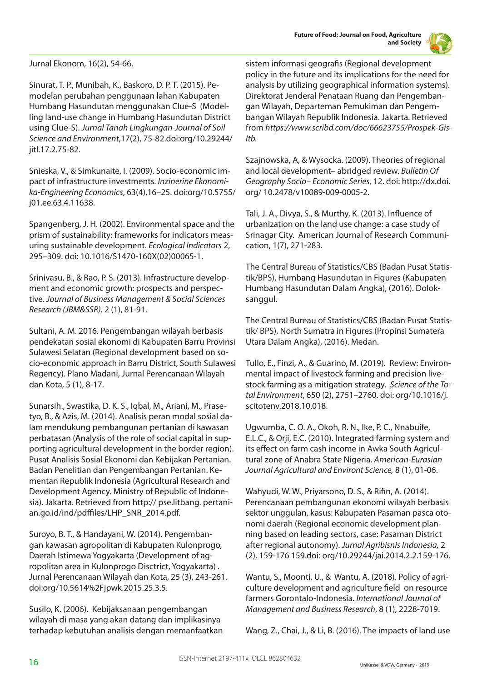

Jurnal Ekonom, 16(2), 54-66.

Sinurat, T. P., Munibah, K., Baskoro, D. P. T. (2015). Pemodelan perubahan penggunaan lahan Kabupaten Humbang Hasundutan menggunakan Clue-S (Modelling land-use change in Humbang Hasundutan District using Clue-S). *Jurnal Tanah Lingkungan-Journal of Soil Science and Environment*,17(2), 75-82.doi:org/10.29244/ jitl.17.2.75-82.

Snieska, V., & Simkunaite, I. (2009). Socio-economic impact of infrastructure investments. *Inzinerine Ekonomika-Engineering Economics*, 63(4),16–25. doi:org/10.5755/ j01.ee.63.4.11638.

Spangenberg, J. H. (2002). Environmental space and the prism of sustainability: frameworks for indicators measuring sustainable development. *Ecological Indicators* 2, 295–309. doi: 10.1016/S1470-160X(02)00065-1.

Srinivasu, B., & Rao, P. S. (2013). Infrastructure development and economic growth: prospects and perspective. *Journal of Business Management & Social Sciences Research (JBM&SSR),* 2 (1), 81-91.

Sultani, A. M. 2016. Pengembangan wilayah berbasis pendekatan sosial ekonomi di Kabupaten Barru Provinsi Sulawesi Selatan (Regional development based on socio-economic approach in Barru District, South Sulawesi Regency). Plano Madani, Jurnal Perencanaan Wilayah dan Kota, 5 (1), 8-17.

Sunarsih., Swastika, D. K. S., Iqbal, M., Ariani, M., Prasetyo, B., & Azis, M. (2014). Analisis peran modal sosial dalam mendukung pembangunan pertanian di kawasan perbatasan (Analysis of the role of social capital in supporting agricultural development in the border region). Pusat Analisis Sosial Ekonomi dan Kebijakan Pertanian. Badan Penelitian dan Pengembangan Pertanian. Kementan Republik Indonesia (Agricultural Research and Development Agency. Ministry of Republic of Indonesia). Jakarta. Retrieved from http:// pse.litbang. pertanian.go.id/ind/pdffiles/LHP\_SNR\_2014.pdf.

Suroyo, B. T., & Handayani, W. (2014). Pengembangan kawasan agropolitan di Kabupaten Kulonprogo, Daerah Istimewa Yogyakarta (Development of agropolitan area in Kulonprogo Disctrict, Yogyakarta) . Jurnal Perencanaan Wilayah dan Kota, 25 (3), 243-261. doi:org/10.5614%2Fjpwk.2015.25.3.5.

Susilo, K. (2006). Kebijaksanaan pengembangan wilayah di masa yang akan datang dan implikasinya terhadap kebutuhan analisis dengan memanfaatkan sistem informasi geografis (Regional development policy in the future and its implications for the need for analysis by utilizing geographical information systems). Direktorat Jenderal Penataan Ruang dan Pengembangan Wilayah, Departeman Pemukiman dan Pengembangan Wilayah Republik Indonesia. Jakarta. Retrieved from *https://www.scribd.com/doc/66623755/Prospek-Gis-Itb.*

Szajnowska, A, & Wysocka. (2009). Theories of regional and local development– abridged review. *Bulletin Of Geography Socio– Economic Series*, 12. doi: http://dx.doi. org/ 10.2478/v10089-009-0005-2.

Tali, J. A., Divya, S., & Murthy, K. (2013). Influence of urbanization on the land use change: a case study of Srinagar City. American Journal of Research Communication, 1(7), 271-283.

The Central Bureau of Statistics/CBS (Badan Pusat Statistik/BPS), Humbang Hasundutan in Figures (Kabupaten Humbang Hasundutan Dalam Angka), (2016). Doloksanggul.

The Central Bureau of Statistics/CBS (Badan Pusat Statistik/ BPS), North Sumatra in Figures (Propinsi Sumatera Utara Dalam Angka), (2016). Medan.

Tullo, E., Finzi, A., & Guarino, M. (2019). Review: Environmental impact of livestock farming and precision livestock farming as a mitigation strategy. *Science of the Total Environment*, 650 (2), 2751–2760. doi: org/10.1016/j. scitotenv.2018.10.018.

Ugwumba, C. O. A., Okoh, R. N., Ike, P. C., Nnabuife, E.L.C., & Orji, E.C. (2010). Integrated farming system and its effect on farm cash income in Awka South Agricultural zone of Anabra State Nigeria. *American-Eurasian Journal Agricultural and Environt Science,* 8 (1), 01-06.

Wahyudi, W. W., Priyarsono, D. S., & Rifin, A. (2014). Perencanaan pembangunan ekonomi wilayah berbasis sektor unggulan, kasus: Kabupaten Pasaman pasca otonomi daerah (Regional economic development planning based on leading sectors, case: Pasaman District after regional autonomy). *Jurnal Agribisnis Indonesia,* 2 (2), 159-176 159.doi: org/10.29244/jai.2014.2.2.159-176.

Wantu, S., Moonti, U., & Wantu, A. (2018). Policy of agriculture development and agriculture field on resource farmers Gorontalo-Indonesia. *International Journal of Management and Business Research*, 8 (1), 2228-7019.

Wang, Z., Chai, J., & Li, B. (2016). The impacts of land use